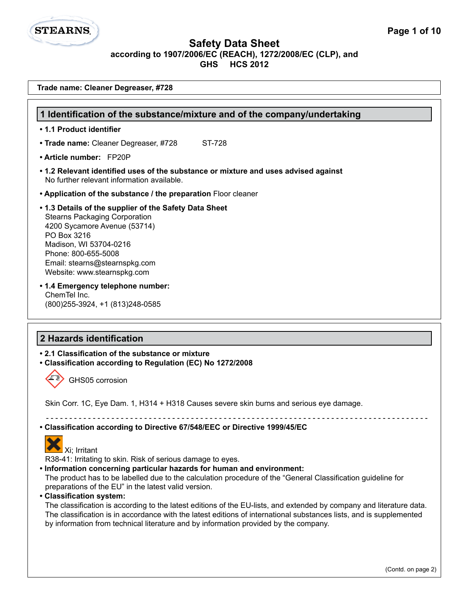# **STEARNS**

#### **Safety Data Sheet according to 1907/2006/EC (REACH), 1272/2008/EC (CLP), and GHS HCS 2012**

| Trade name: Cleaner Degreaser, #728                                                                                                                                                                                                                                                                                                                     |  |  |
|---------------------------------------------------------------------------------------------------------------------------------------------------------------------------------------------------------------------------------------------------------------------------------------------------------------------------------------------------------|--|--|
|                                                                                                                                                                                                                                                                                                                                                         |  |  |
| 1 Identification of the substance/mixture and of the company/undertaking                                                                                                                                                                                                                                                                                |  |  |
| • 1.1 Product identifier                                                                                                                                                                                                                                                                                                                                |  |  |
| • Trade name: Cleaner Degreaser, #728<br>ST-728                                                                                                                                                                                                                                                                                                         |  |  |
| • Article number: FP20P                                                                                                                                                                                                                                                                                                                                 |  |  |
| • 1.2 Relevant identified uses of the substance or mixture and uses advised against<br>No further relevant information available.                                                                                                                                                                                                                       |  |  |
| • Application of the substance / the preparation Floor cleaner                                                                                                                                                                                                                                                                                          |  |  |
| .1.3 Details of the supplier of the Safety Data Sheet<br><b>Stearns Packaging Corporation</b><br>4200 Sycamore Avenue (53714)<br>PO Box 3216<br>Madison, WI 53704-0216<br>Phone: 800-655-5008<br>Email: stearns@stearnspkg.com<br>Website: www.stearnspkg.com<br>• 1.4 Emergency telephone number:<br>ChemTel Inc.<br>(800) 255-3924, +1 (813) 248-0585 |  |  |
| 2 Hazards identification                                                                                                                                                                                                                                                                                                                                |  |  |
| • 2.1 Classification of the substance or mixture<br>• Classification according to Regulation (EC) No 1272/2008                                                                                                                                                                                                                                          |  |  |
| GHS05 corrosion                                                                                                                                                                                                                                                                                                                                         |  |  |
| Skin Corr. 1C, Eye Dam. 1, H314 + H318 Causes severe skin burns and serious eye damage.                                                                                                                                                                                                                                                                 |  |  |
| • Classification according to Directive 67/548/EEC or Directive 1999/45/EC                                                                                                                                                                                                                                                                              |  |  |



R38-41: Irritating to skin. Risk of serious damage to eyes.

**• Information concerning particular hazards for human and environment:**

The product has to be labelled due to the calculation procedure of the "General Classification guideline for preparations of the EU" in the latest valid version.

**• Classification system:**

The classification is according to the latest editions of the EU-lists, and extended by company and literature data. The classification is in accordance with the latest editions of international substances lists, and is supplemented by information from technical literature and by information provided by the company.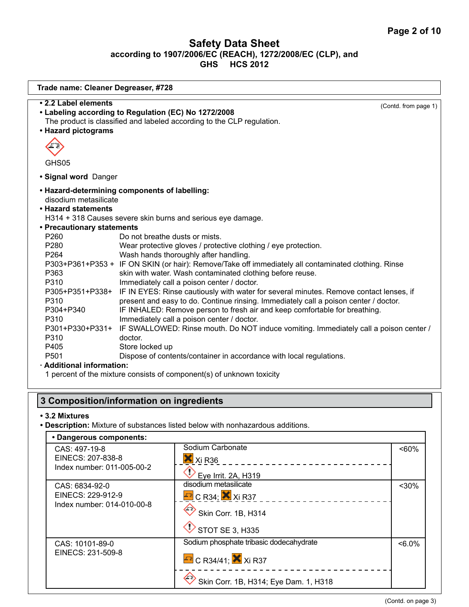| Trade name: Cleaner Degreaser, #728                                                                                                                                                                                                                                                                                                                            |                                                                                                                                                                                                                                                                                                                                                                                                                                                                                                                                                                                                                                                                                                                                                                                                                                                                                                                                                    |                      |
|----------------------------------------------------------------------------------------------------------------------------------------------------------------------------------------------------------------------------------------------------------------------------------------------------------------------------------------------------------------|----------------------------------------------------------------------------------------------------------------------------------------------------------------------------------------------------------------------------------------------------------------------------------------------------------------------------------------------------------------------------------------------------------------------------------------------------------------------------------------------------------------------------------------------------------------------------------------------------------------------------------------------------------------------------------------------------------------------------------------------------------------------------------------------------------------------------------------------------------------------------------------------------------------------------------------------------|----------------------|
| • 2.2 Label elements<br>• Labeling according to Regulation (EC) No 1272/2008<br>• Hazard pictograms<br>GHS05                                                                                                                                                                                                                                                   | The product is classified and labeled according to the CLP regulation.                                                                                                                                                                                                                                                                                                                                                                                                                                                                                                                                                                                                                                                                                                                                                                                                                                                                             | (Contd. from page 1) |
| • Signal word Danger                                                                                                                                                                                                                                                                                                                                           |                                                                                                                                                                                                                                                                                                                                                                                                                                                                                                                                                                                                                                                                                                                                                                                                                                                                                                                                                    |                      |
| • Hazard-determining components of labelling:<br>disodium metasilicate<br>• Hazard statements<br>H314 + 318 Causes severe skin burns and serious eye damage.<br>• Precautionary statements<br>P260<br>P280<br>P264<br>P363<br>P310<br>P310<br>P304+P340<br>P310<br>P310<br>doctor.<br>Store locked up<br>P405<br>P <sub>501</sub><br>· Additional information: | Do not breathe dusts or mists.<br>Wear protective gloves / protective clothing / eye protection.<br>Wash hands thoroughly after handling.<br>P303+P361+P353 + IF ON SKIN (or hair): Remove/Take off immediately all contaminated clothing. Rinse<br>skin with water. Wash contaminated clothing before reuse.<br>Immediately call a poison center / doctor.<br>P305+P351+P338+ IF IN EYES: Rinse cautiously with water for several minutes. Remove contact lenses, if<br>present and easy to do. Continue rinsing. Immediately call a poison center / doctor.<br>IF INHALED: Remove person to fresh air and keep comfortable for breathing.<br>Immediately call a poison center / doctor.<br>P301+P330+P331+ IF SWALLOWED: Rinse mouth. Do NOT induce vomiting. Immediately call a poison center /<br>Dispose of contents/container in accordance with local regulations.<br>1 percent of the mixture consists of component(s) of unknown toxicity |                      |
| 3 Composition/information on ingredients                                                                                                                                                                                                                                                                                                                       |                                                                                                                                                                                                                                                                                                                                                                                                                                                                                                                                                                                                                                                                                                                                                                                                                                                                                                                                                    |                      |

#### **• 3.2 Mixtures**

**• Description:** Mixture of substances listed below with nonhazardous additions.

| • Dangerous components:            |                                            |          |
|------------------------------------|--------------------------------------------|----------|
| CAS: 497-19-8<br>EINECS: 207-838-8 | Sodium Carbonate<br>$X$ Xi R36             | $~50\%$  |
| Index number: 011-005-00-2         | Eye Irrit. 2A, H319                        |          |
| CAS: 6834-92-0                     | disodium metasilicate                      | $30%$    |
| EINECS: 229-912-9                  | $E$ <sup>2</sup> C R34; $X$ Xi R37         |          |
| Index number: 014-010-00-8         | $\leftrightarrow$ Skin Corr. 1B, H314      |          |
|                                    | $\bigvee$ STOT SE 3, H335                  |          |
| CAS: 10101-89-0                    | Sodium phosphate tribasic dodecahydrate    | $<6.0\%$ |
| EINECS: 231-509-8                  | $\mathbb{F}$ C R34/41; $\mathbb{X}$ Xi R37 |          |
|                                    | Skin Corr. 1B, H314; Eye Dam. 1, H318      |          |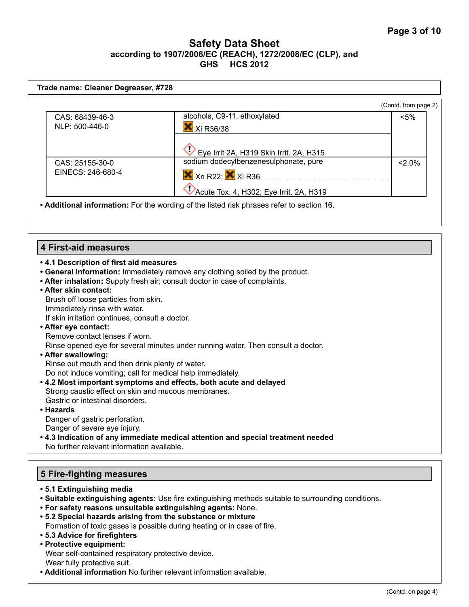| Trade name: Cleaner Degreaser, #728                                                                     |                                                                                                                                                                                                                                                                                                   |                      |
|---------------------------------------------------------------------------------------------------------|---------------------------------------------------------------------------------------------------------------------------------------------------------------------------------------------------------------------------------------------------------------------------------------------------|----------------------|
|                                                                                                         |                                                                                                                                                                                                                                                                                                   | (Contd. from page 2) |
| CAS: 68439-46-3<br>NLP: 500-446-0                                                                       | alcohols, C9-11, ethoxylated<br>X Xi R36/38                                                                                                                                                                                                                                                       | <5%                  |
| CAS: 25155-30-0<br>EINECS: 246-680-4                                                                    | Eye Irrit 2A, H319 Skin Irrit. 2A, H315<br>sodium dodecylbenzenesulphonate, pure<br>$X$ <sub>Xn</sub> R <sub>22</sub> ; $X$ <sub>Xi</sub> R <sub>36</sub><br>Acute Tox. 4, H302; Eye Irrit. 2A, H319<br>. Additional information: For the wording of the listed risk phrases refer to section 16. | $2.0\%$              |
| <b>4 First-aid measures</b>                                                                             |                                                                                                                                                                                                                                                                                                   |                      |
| .4.1 Description of first aid measures<br>• After skin contact:<br>Brush off loose particles from skin. | • General information: Immediately remove any clothing soiled by the product.<br>• After inhalation: Supply fresh air; consult doctor in case of complaints.                                                                                                                                      |                      |

Immediately rinse with water. If skin irritation continues, consult a doctor.

**• After eye contact:** Remove contact lenses if worn.

Rinse opened eye for several minutes under running water. Then consult a doctor.

#### **• After swallowing:**  Rinse out mouth and then drink plenty of water. Do not induce vomiting; call for medical help immediately.

- **4.2 Most important symptoms and effects, both acute and delayed**  Strong caustic effect on skin and mucous membranes. Gastric or intestinal disorders.
- **Hazards**

Danger of gastric perforation. Danger of severe eye injury.

**• 4.3 Indication of any immediate medical attention and special treatment needed** No further relevant information available.

# **5 Fire-fighting measures**

- **5.1 Extinguishing media**
- **Suitable extinguishing agents:** Use fire extinguishing methods suitable to surrounding conditions.
- **For safety reasons unsuitable extinguishing agents:** None.
- **5.2 Special hazards arising from the substance or mixture**  Formation of toxic gases is possible during heating or in case of fire.
- **5.3 Advice for firefighters**
- **Protective equipment:**
- Wear self-contained respiratory protective device. Wear fully protective suit.
- **Additional information** No further relevant information available.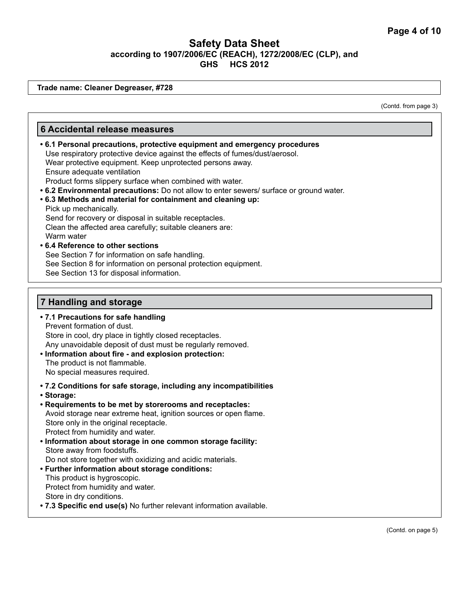**Trade name: Cleaner Degreaser, #728**

(Contd. from page 3)

# **7 Handling and storage • 7.1 Precautions for safe handling** Prevent formation of dust. Store in cool, dry place in tightly closed receptacles. Any unavoidable deposit of dust must be regularly removed. **6 Accidental release measures • 6.1 Personal precautions, protective equipment and emergency procedures** Use respiratory protective device against the effects of fumes/dust/aerosol. Wear protective equipment. Keep unprotected persons away. Ensure adequate ventilation Product forms slippery surface when combined with water. **• 6.2 Environmental precautions:** Do not allow to enter sewers/ surface or ground water. **• 6.3 Methods and material for containment and cleaning up:** Pick up mechanically. Send for recovery or disposal in suitable receptacles. Clean the affected area carefully; suitable cleaners are: Warm water **• 6.4 Reference to other sections** See Section 7 for information on safe handling. See Section 8 for information on personal protection equipment. See Section 13 for disposal information.

- **Information about fire and explosion protection:**  The product is not flammable. No special measures required.
- **7.2 Conditions for safe storage, including any incompatibilities**
- **Storage:**
- **Requirements to be met by storerooms and receptacles:** Avoid storage near extreme heat, ignition sources or open flame. Store only in the original receptacle. Protect from humidity and water.
- **Information about storage in one common storage facility:** Store away from foodstuffs. Do not store together with oxidizing and acidic materials.
- **Further information about storage conditions:**  This product is hygroscopic. Protect from humidity and water. Store in dry conditions.
- **7.3 Specific end use(s)** No further relevant information available.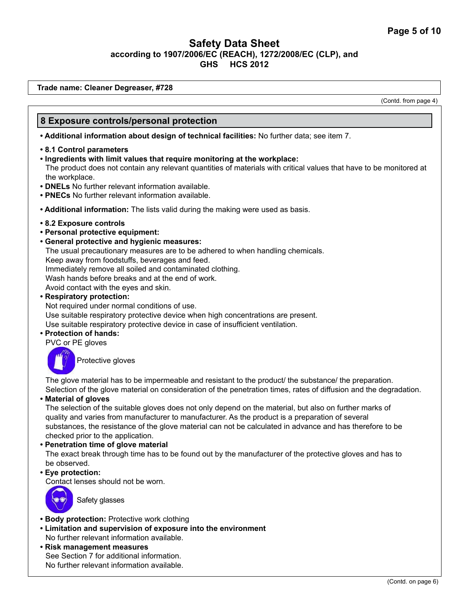**Trade name: Cleaner Degreaser, #728**

(Contd. from page 4)

## **8 Exposure controls/personal protection**

**• Additional information about design of technical facilities:** No further data; see item 7.

- **8.1 Control parameters**
- **Ingredients with limit values that require monitoring at the workplace:** The product does not contain any relevant quantities of materials with critical values that have to be monitored at the workplace.
- **DNELs** No further relevant information available.
- **PNECs** No further relevant information available.
- **Additional information:** The lists valid during the making were used as basis.
- **8.2 Exposure controls**
- **Personal protective equipment:**
- **General protective and hygienic measures:** 
	- The usual precautionary measures are to be adhered to when handling chemicals.

Keep away from foodstuffs, beverages and feed.

Immediately remove all soiled and contaminated clothing.

Wash hands before breaks and at the end of work.

Avoid contact with the eyes and skin.

**• Respiratory protection:** 

Not required under normal conditions of use. Use suitable respiratory protective device when high concentrations are present. Use suitable respiratory protective device in case of insufficient ventilation.

**• Protection of hands:** 

PVC or PE gloves



Protective gloves

The glove material has to be impermeable and resistant to the product/ the substance/ the preparation. Selection of the glove material on consideration of the penetration times, rates of diffusion and the degradation.

**• Material of gloves**

The selection of the suitable gloves does not only depend on the material, but also on further marks of quality and varies from manufacturer to manufacturer. As the product is a preparation of several substances, the resistance of the glove material can not be calculated in advance and has therefore to be checked prior to the application.

#### **• Penetration time of glove material**

The exact break through time has to be found out by the manufacturer of the protective gloves and has to be observed.

**• Eye protection:** 

Contact lenses should not be worn.



Safety glasses

- **Body protection:** Protective work clothing
- **Limitation and supervision of exposure into the environment** No further relevant information available.
- **Risk management measures** See Section 7 for additional information. No further relevant information available.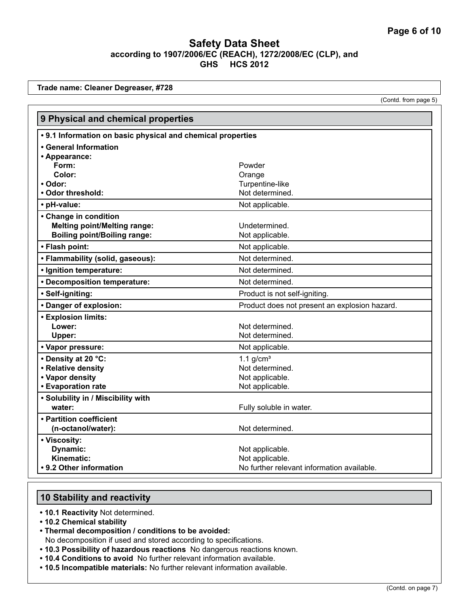**Trade name: Cleaner Degreaser, #728**

(Contd. from page 5)

| 9 Physical and chemical properties                          |                                               |  |
|-------------------------------------------------------------|-----------------------------------------------|--|
| • 9.1 Information on basic physical and chemical properties |                                               |  |
| • General Information                                       |                                               |  |
| • Appearance:                                               |                                               |  |
| Form:                                                       | Powder                                        |  |
| Color:                                                      | Orange                                        |  |
| • Odor:                                                     | Turpentine-like                               |  |
| • Odor threshold:                                           | Not determined.                               |  |
| • pH-value:                                                 | Not applicable.                               |  |
| • Change in condition                                       |                                               |  |
| <b>Melting point/Melting range:</b>                         | Undetermined.                                 |  |
| <b>Boiling point/Boiling range:</b>                         | Not applicable.                               |  |
| • Flash point:                                              | Not applicable.                               |  |
| • Flammability (solid, gaseous):                            | Not determined.                               |  |
| · Ignition temperature:                                     | Not determined.                               |  |
| • Decomposition temperature:                                | Not determined.                               |  |
| · Self-igniting:                                            | Product is not self-igniting.                 |  |
| • Danger of explosion:                                      | Product does not present an explosion hazard. |  |
| <b>• Explosion limits:</b>                                  |                                               |  |
| Lower:                                                      | Not determined.                               |  |
| Upper:                                                      | Not determined.                               |  |
| · Vapor pressure:                                           | Not applicable.                               |  |
| • Density at 20 °C:                                         | 1.1 $g/cm3$                                   |  |
| • Relative density                                          | Not determined.                               |  |
| • Vapor density                                             | Not applicable.                               |  |
| • Evaporation rate                                          | Not applicable.                               |  |
| • Solubility in / Miscibility with                          |                                               |  |
| water:                                                      | Fully soluble in water.                       |  |
| • Partition coefficient                                     |                                               |  |
| (n-octanol/water):                                          | Not determined.                               |  |
| • Viscosity:                                                |                                               |  |
| Dynamic:                                                    | Not applicable.                               |  |
| Kinematic:                                                  | Not applicable.                               |  |
| • 9.2 Other information                                     | No further relevant information available.    |  |

#### **10 Stability and reactivity**

**• 10.1 Reactivity** Not determined.

- **10.2 Chemical stability**
- **Thermal decomposition / conditions to be avoided:**
- No decomposition if used and stored according to specifications.
- **10.3 Possibility of hazardous reactions** No dangerous reactions known.
- **10.4 Conditions to avoid** No further relevant information available.
- **10.5 Incompatible materials:** No further relevant information available.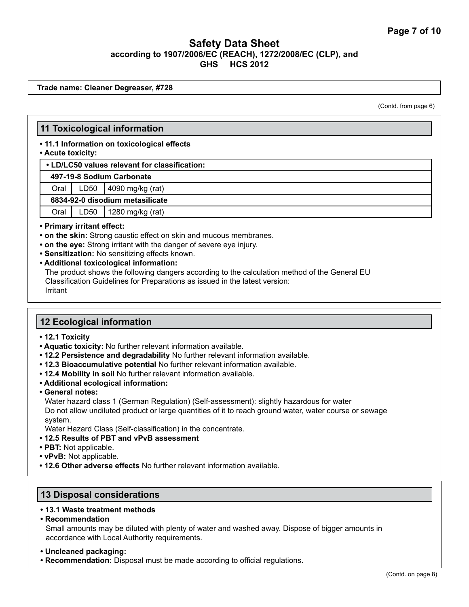**Trade name: Cleaner Degreaser, #728**

(Contd. from page 6)

## **11 Toxicological information**

**• 11.1 Information on toxicological effects**

#### **• Acute toxicity:**

**• LD/LC50 values relevant for classification:**

 **497-19-8 Sodium Carbonate**

Oral LD50 4090 mg/kg (rat)

 **6834-92-0 disodium metasilicate**

Oral LD50 1280 mg/kg (rat)

#### **• Primary irritant effect:**

- **on the skin:** Strong caustic effect on skin and mucous membranes.
- **on the eye:** Strong irritant with the danger of severe eye injury.
- **Sensitization:** No sensitizing effects known.
- **Additional toxicological information:**

The product shows the following dangers according to the calculation method of the General EU Classification Guidelines for Preparations as issued in the latest version: Irritant

#### **12 Ecological information**

- **12.1 Toxicity**
- **Aquatic toxicity:** No further relevant information available.
- **12.2 Persistence and degradability** No further relevant information available.
- **12.3 Bioaccumulative potential** No further relevant information available.
- **12.4 Mobility in soil** No further relevant information available.
- **Additional ecological information:**
- **General notes:**

Water hazard class 1 (German Regulation) (Self-assessment): slightly hazardous for water Do not allow undiluted product or large quantities of it to reach ground water, water course or sewage system.

Water Hazard Class (Self-classification) in the concentrate.

- **12.5 Results of PBT and vPvB assessment**
- **PBT:** Not applicable.
- **vPvB:** Not applicable.
- **12.6 Other adverse effects** No further relevant information available.

#### **13 Disposal considerations**

- **13.1 Waste treatment methods**
- **Recommendation**

Small amounts may be diluted with plenty of water and washed away. Dispose of bigger amounts in accordance with Local Authority requirements.

#### **• Uncleaned packaging:**

**• Recommendation:** Disposal must be made according to official regulations.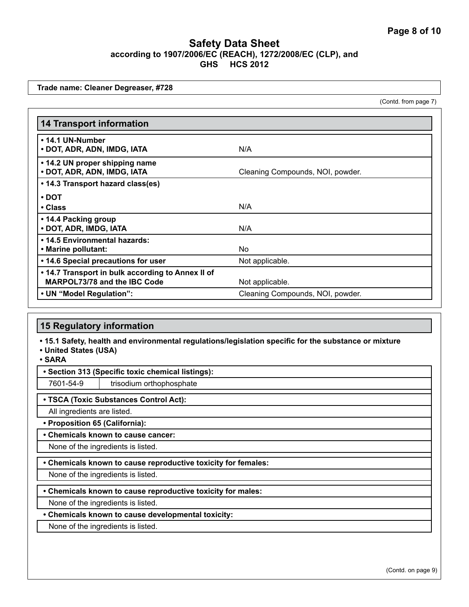**Trade name: Cleaner Degreaser, #728**

(Contd. from page 7)

| <b>14 Transport information</b>                                                          |                                  |
|------------------------------------------------------------------------------------------|----------------------------------|
| • 14.1 UN-Number<br>• DOT, ADR, ADN, IMDG, IATA                                          | N/A                              |
| • 14.2 UN proper shipping name<br>• DOT, ADR, ADN, IMDG, IATA                            | Cleaning Compounds, NOI, powder. |
| • 14.3 Transport hazard class(es)                                                        |                                  |
| $\cdot$ DOT                                                                              |                                  |
| • Class                                                                                  | N/A                              |
| • 14.4 Packing group<br>• DOT, ADR, IMDG, IATA                                           | N/A                              |
| • 14.5 Environmental hazards:                                                            |                                  |
| • Marine pollutant:                                                                      | No.                              |
| • 14.6 Special precautions for user                                                      | Not applicable.                  |
| • 14.7 Transport in bulk according to Annex II of<br><b>MARPOL73/78 and the IBC Code</b> | Not applicable.                  |
| • UN "Model Regulation":                                                                 | Cleaning Compounds, NOI, powder. |

#### **15 Regulatory information**

**• 15.1 Safety, health and environmental regulations/legislation specific for the substance or mixture**

**• United States (USA)**

**• SARA**

**• Section 313 (Specific toxic chemical listings):**

7601-54-9 | trisodium orthophosphate

#### **• TSCA (Toxic Substances Control Act):**

All ingredients are listed.

**• Proposition 65 (California):**

**• Chemicals known to cause cancer:**

None of the ingredients is listed.

**• Chemicals known to cause reproductive toxicity for females:**

None of the ingredients is listed.

**• Chemicals known to cause reproductive toxicity for males:**

None of the ingredients is listed.

#### **• Chemicals known to cause developmental toxicity:**

None of the ingredients is listed.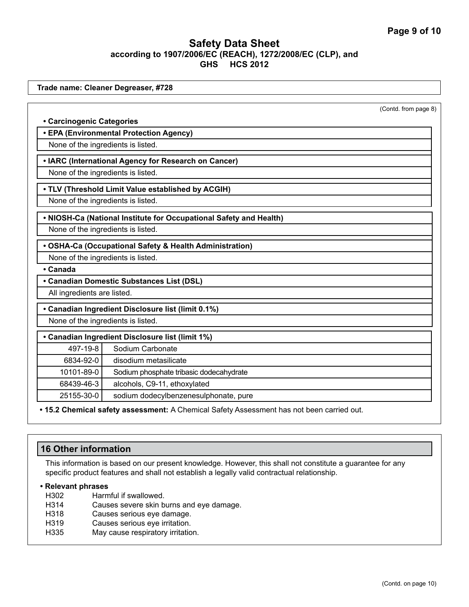|                                    | Trade name: Cleaner Degreaser, #728                                |                      |
|------------------------------------|--------------------------------------------------------------------|----------------------|
|                                    |                                                                    |                      |
|                                    |                                                                    | (Contd. from page 8) |
| • Carcinogenic Categories          |                                                                    |                      |
|                                    | • EPA (Environmental Protection Agency)                            |                      |
| None of the ingredients is listed. |                                                                    |                      |
|                                    | • IARC (International Agency for Research on Cancer)               |                      |
| None of the ingredients is listed. |                                                                    |                      |
|                                    | • TLV (Threshold Limit Value established by ACGIH)                 |                      |
| None of the ingredients is listed. |                                                                    |                      |
|                                    | . NIOSH-Ca (National Institute for Occupational Safety and Health) |                      |
| None of the ingredients is listed. |                                                                    |                      |
|                                    | • OSHA-Ca (Occupational Safety & Health Administration)            |                      |
| None of the ingredients is listed. |                                                                    |                      |
| • Canada                           |                                                                    |                      |
|                                    | • Canadian Domestic Substances List (DSL)                          |                      |
| All ingredients are listed.        |                                                                    |                      |
|                                    | • Canadian Ingredient Disclosure list (limit 0.1%)                 |                      |
| None of the ingredients is listed. |                                                                    |                      |
|                                    | • Canadian Ingredient Disclosure list (limit 1%)                   |                      |
| 497-19-8                           | Sodium Carbonate                                                   |                      |
| 6834-92-0                          | disodium metasilicate                                              |                      |
| 10101-89-0                         | Sodium phosphate tribasic dodecahydrate                            |                      |
| 68439-46-3                         | alcohols, C9-11, ethoxylated                                       |                      |
|                                    | sodium dodecylbenzenesulphonate, pure                              |                      |

**• 15.2 Chemical safety assessment:** A Chemical Safety Assessment has not been carried out.

# **16 Other information**

This information is based on our present knowledge. However, this shall not constitute a guarantee for any specific product features and shall not establish a legally valid contractual relationship.

#### **• Relevant phrases**

- H<sub>302</sub> Harmful if swallowed.<br>H<sub>314</sub> Causes severe skin b
- Causes severe skin burns and eye damage.
- H318 Causes serious eye damage.
- H319 Causes serious eye irritation.
- H335 May cause respiratory irritation.